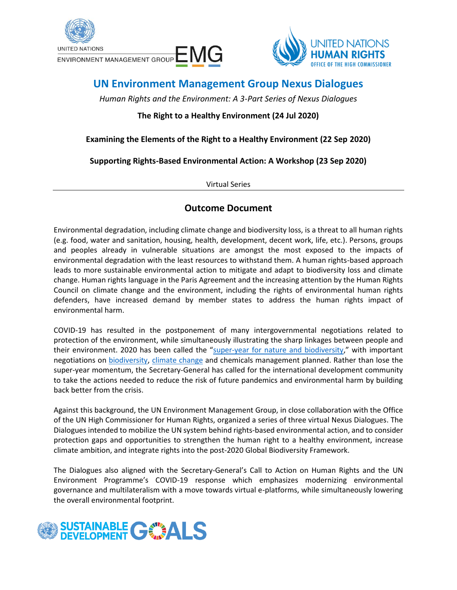



# **UN Environment Management Group Nexus Dialogues**

*Human Rights and the Environment: A 3-Part Series of Nexus Dialogues*

## **The Right to a Healthy Environment (24 Jul 2020)**

### **Examining the Elements of the Right to a Healthy Environment (22 Sep 2020)**

**Supporting Rights-Based Environmental Action: A Workshop (23 Sep 2020)**

Virtual Series

## **Outcome Document**

Environmental degradation, including climate change and biodiversity loss, is a threat to all human rights (e.g. food, water and sanitation, housing, health, development, decent work, life, etc.). Persons, groups and peoples already in vulnerable situations are amongst the most exposed to the impacts of environmental degradation with the least resources to withstand them. A human rights-based approach leads to more sustainable environmental action to mitigate and adapt to biodiversity loss and climate change. Human rights language in the Paris Agreement and the increasing attention by the Human Rights Council on climate change and the environment, including the rights of environmental human rights defenders, have increased demand by member states to address the human rights impact of environmental harm.

COVID-19 has resulted in the postponement of many intergovernmental negotiations related to protection of the environment, while simultaneously illustrating the sharp linkages between people and their environment. 2020 has been called the "[super-year for nature and biodiversity](https://www.unenvironment.org/news-and-stories/news/2020-super-year-nature-and-biodiversity)," with important negotiations on [biodiversity,](https://www.cbd.int/conferences/post2020) [climate change](https://sdg.iisd.org/events/2020-un-climate-change-conference-unfccc-cop-26/) and chemicals management planned. Rather than lose the super-year momentum, the Secretary-General has called for the international development community to take the actions needed to reduce the risk of future pandemics and environmental harm by building back better from the crisis.

Against this background, the UN Environment Management Group, in close collaboration with the Office of the UN High Commissioner for Human Rights, organized a series of three virtual Nexus Dialogues. The Dialogues intended to mobilize the UN system behind rights-based environmental action, and to consider protection gaps and opportunities to strengthen the human right to a healthy environment, increase climate ambition, and integrate rights into the post-2020 Global Biodiversity Framework.

The Dialogues also aligned with the Secretary-General's Call to Action on Human Rights and the UN Environment Programme's COVID-19 response which emphasizes modernizing environmental governance and multilateralism with a move towards virtual e-platforms, while simultaneously lowering the overall environmental footprint.

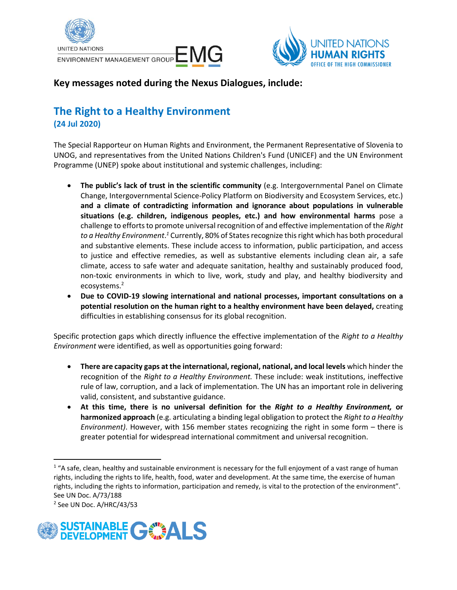



## **Key messages noted during the Nexus Dialogues, include:**

## **The Right to a Healthy Environment (24 Jul 2020)**

The Special Rapporteur on Human Rights and Environment, the Permanent Representative of Slovenia to UNOG, and representatives from the United Nations Children's Fund (UNICEF) and the UN Environment Programme (UNEP) spoke about institutional and systemic challenges, including:

- **The public's lack of trust in the scientific community** (e.g. Intergovernmental Panel on Climate Change, Intergovernmental Science-Policy Platform on Biodiversity and Ecosystem Services, etc.) **and a climate of contradicting information and ignorance about populations in vulnerable situations (e.g. children, indigenous peoples, etc.) and how environmental harms** pose a challenge to efforts to promote universal recognition of and effective implementation of the *Right to a Healthy Environment*. *<sup>1</sup>* Currently, 80% of States recognize thisright which has both procedural and substantive elements. These include access to information, public participation, and access to justice and effective remedies, as well as substantive elements including clean air, a safe climate, access to safe water and adequate sanitation, healthy and sustainably produced food, non-toxic environments in which to live, work, study and play, and healthy biodiversity and ecosystems.<sup>2</sup>
- **Due to COVID-19 slowing international and national processes, important consultations on a potential resolution on the human right to a healthy environment have been delayed,** creating difficulties in establishing consensus for its global recognition.

Specific protection gaps which directly influence the effective implementation of the *Right to a Healthy Environment* were identified, as well as opportunities going forward:

- **There are capacity gaps at the international, regional, national, and local levels** which hinder the recognition of the *Right to a Healthy Environment.* These include: weak institutions, ineffective rule of law, corruption, and a lack of implementation. The UN has an important role in delivering valid, consistent, and substantive guidance.
- **At this time, there is no universal definition for the** *Right to a Healthy Environment,* **or harmonized approach** (e.g. articulating a binding legal obligation to protect the *Right to a Healthy Environment)*. However, with 156 member states recognizing the right in some form – there is greater potential for widespread international commitment and universal recognition.

<sup>2</sup> See UN Doc. A/HRC/43/53



 $1$  "A safe, clean, healthy and sustainable environment is necessary for the full enjoyment of a vast range of human rights, including the rights to life, health, food, water and development. At the same time, the exercise of human rights, including the rights to information, participation and remedy, is vital to the protection of the environment". See UN Doc. A/73/188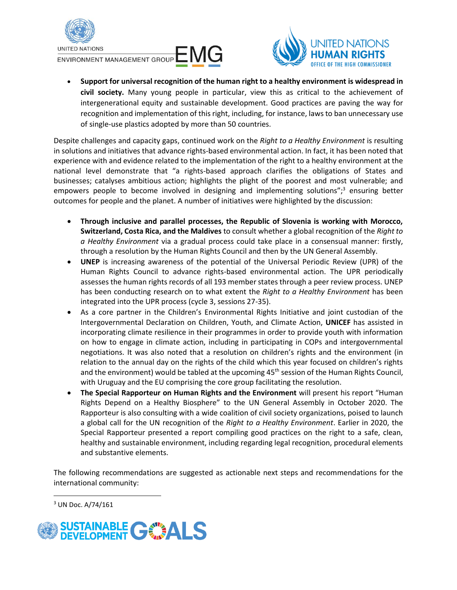

ENVIRONMENT MANAGEMENT GROUP EM



• **Support for universal recognition of the human right to a healthy environment is widespread in civil society.** Many young people in particular, view this as critical to the achievement of intergenerational equity and sustainable development. Good practices are paving the way for recognition and implementation of this right, including, for instance, laws to ban unnecessary use of single-use plastics adopted by more than 50 countries.

Despite challenges and capacity gaps, continued work on the *Right to a Healthy Environment* is resulting in solutions and initiatives that advance rights-based environmental action. In fact, it has been noted that experience with and evidence related to the implementation of the right to a healthy environment at the national level demonstrate that "a rights-based approach clarifies the obligations of States and businesses; catalyses ambitious action; highlights the plight of the poorest and most vulnerable; and empowers people to become involved in designing and implementing solutions";<sup>3</sup> ensuring better outcomes for people and the planet. A number of initiatives were highlighted by the discussion:

- **Through inclusive and parallel processes, the Republic of Slovenia is working with Morocco, Switzerland, Costa Rica, and the Maldives** to consult whether a global recognition of the *Right to a Healthy Environment* via a gradual process could take place in a consensual manner: firstly, through a resolution by the Human Rights Council and then by the UN General Assembly.
- **UNEP** is increasing awareness of the potential of the Universal Periodic Review (UPR) of the Human Rights Council to advance rights-based environmental action. The UPR periodically assesses the human rights records of all 193 member states through a peer review process. UNEP has been conducting research on to what extent the *Right to a Healthy Environment* has been integrated into the UPR process (cycle 3, sessions 27-35).
- As a core partner in the Children's Environmental Rights Initiative and joint custodian of the Intergovernmental Declaration on Children, Youth, and Climate Action, **UNICEF** has assisted in incorporating climate resilience in their programmes in order to provide youth with information on how to engage in climate action, including in participating in COPs and intergovernmental negotiations. It was also noted that a resolution on children's rights and the environment (in relation to the annual day on the rights of the child which this year focused on children's rights and the environment) would be tabled at the upcoming 45<sup>th</sup> session of the Human Rights Council, with Uruguay and the EU comprising the core group facilitating the resolution.
- **The Special Rapporteur on Human Rights and the Environment** will present his report "Human Rights Depend on a Healthy Biosphere" to the UN General Assembly in October 2020. The Rapporteur is also consulting with a wide coalition of civil society organizations, poised to launch a global call for the UN recognition of the *Right to a Healthy Environment*. Earlier in 2020, the Special Rapporteur presented a report compiling good practices on the right to a safe, clean, healthy and sustainable environment, including regarding legal recognition, procedural elements and substantive elements.

The following recommendations are suggested as actionable next steps and recommendations for the international community:

<sup>3</sup> UN Doc. A/74/161

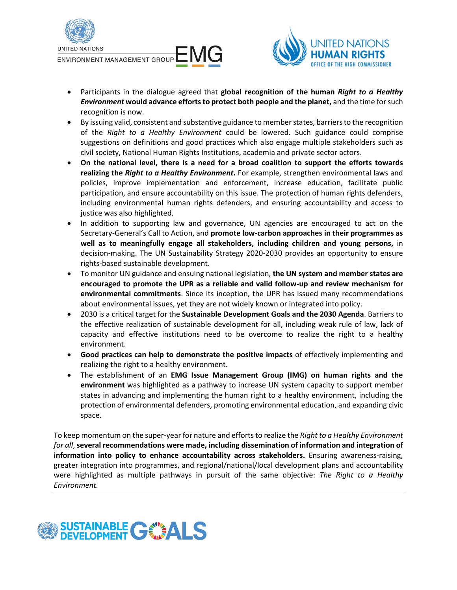



- Participants in the dialogue agreed that **global recognition of the human** *Right to a Healthy Environment* **would advance efforts to protect both people and the planet,** and the time for such recognition is now.
- By issuing valid, consistent and substantive guidance to member states, barriers to the recognition of the *Right to a Healthy Environment* could be lowered. Such guidance could comprise suggestions on definitions and good practices which also engage multiple stakeholders such as civil society, National Human Rights Institutions, academia and private sector actors.
- **On the national level, there is a need for a broad coalition to support the efforts towards realizing the** *Right to a Healthy Environment***.** For example, strengthen environmental laws and policies, improve implementation and enforcement, increase education, facilitate public participation, and ensure accountability on this issue. The protection of human rights defenders, including environmental human rights defenders, and ensuring accountability and access to justice was also highlighted.
- In addition to supporting law and governance, UN agencies are encouraged to act on the Secretary-General's Call to Action, and **promote low-carbon approaches in their programmes as well as to meaningfully engage all stakeholders, including children and young persons,** in decision-making. The UN Sustainability Strategy 2020-2030 provides an opportunity to ensure rights-based sustainable development.
- To monitor UN guidance and ensuing national legislation, **the UN system and member states are encouraged to promote the UPR as a reliable and valid follow-up and review mechanism for environmental commitments**. Since its inception, the UPR has issued many recommendations about environmental issues, yet they are not widely known or integrated into policy.
- 2030 is a critical target for the **Sustainable Development Goals and the 2030 Agenda**. Barriers to the effective realization of sustainable development for all, including weak rule of law, lack of capacity and effective institutions need to be overcome to realize the right to a healthy environment.
- **Good practices can help to demonstrate the positive impacts** of effectively implementing and realizing the right to a healthy environment.
- The establishment of an **EMG Issue Management Group (IMG) on human rights and the environment** was highlighted as a pathway to increase UN system capacity to support member states in advancing and implementing the human right to a healthy environment, including the protection of environmental defenders, promoting environmental education, and expanding civic space.

To keep momentum on the super-year for nature and efforts to realize the *Right to a Healthy Environment for all*,**several recommendations were made, including dissemination of information and integration of information into policy to enhance accountability across stakeholders.** Ensuring awareness-raising, greater integration into programmes, and regional/national/local development plans and accountability were highlighted as multiple pathways in pursuit of the same objective: *The Right to a Healthy Environment.*

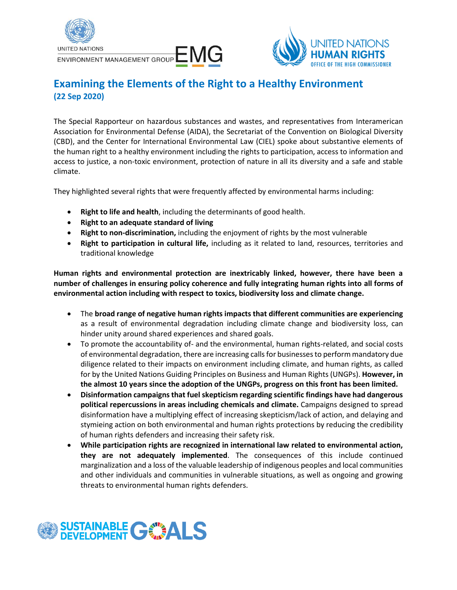



# **Examining the Elements of the Right to a Healthy Environment (22 Sep 2020)**

The Special Rapporteur on hazardous substances and wastes, and representatives from Interamerican Association for Environmental Defense (AIDA), the Secretariat of the Convention on Biological Diversity (CBD), and the Center for International Environmental Law (CIEL) spoke about substantive elements of the human right to a healthy environment including the rights to participation, access to information and access to justice, a non-toxic environment, protection of nature in all its diversity and a safe and stable climate.

They highlighted several rights that were frequently affected by environmental harms including:

- **Right to life and health**, including the determinants of good health.
- **Right to an adequate standard of living**
- **Right to non-discrimination,** including the enjoyment of rights by the most vulnerable
- **Right to participation in cultural life,** including as it related to land, resources, territories and traditional knowledge

**Human rights and environmental protection are inextricably linked, however, there have been a number of challenges in ensuring policy coherence and fully integrating human rights into all forms of environmental action including with respect to toxics, biodiversity loss and climate change.**

- The **broad range of negative human rights impacts that different communities are experiencing** as a result of environmental degradation including climate change and biodiversity loss, can hinder unity around shared experiences and shared goals.
- To promote the accountability of- and the environmental, human rights-related, and social costs of environmental degradation, there are increasing calls for businesses to perform mandatory due diligence related to their impacts on environment including climate, and human rights, as called for by the United Nations Guiding Principles on Business and Human Rights (UNGPs). **However, in the almost 10 years since the adoption of the UNGPs, progress on this front has been limited.**
- **Disinformation campaigns that fuel skepticism regarding scientific findings have had dangerous political repercussions in areas including chemicals and climate.** Campaigns designed to spread disinformation have a multiplying effect of increasing skepticism/lack of action, and delaying and stymieing action on both environmental and human rights protections by reducing the credibility of human rights defenders and increasing their safety risk.
- **While participation rights are recognized in international law related to environmental action, they are not adequately implemented**. The consequences of this include continued marginalization and a loss of the valuable leadership of indigenous peoples and local communities and other individuals and communities in vulnerable situations, as well as ongoing and growing threats to environmental human rights defenders.

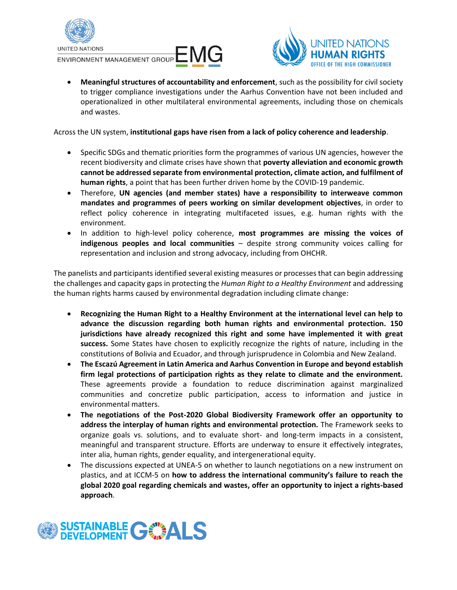





• **Meaningful structures of accountability and enforcement**, such as the possibility for civil society to trigger compliance investigations under the Aarhus Convention have not been included and operationalized in other multilateral environmental agreements, including those on chemicals and wastes.

Across the UN system, **institutional gaps have risen from a lack of policy coherence and leadership**.

- Specific SDGs and thematic priorities form the programmes of various UN agencies, however the recent biodiversity and climate crises have shown that **poverty alleviation and economic growth cannot be addressed separate from environmental protection, climate action, and fulfilment of human rights**, a point that has been further driven home by the COVID-19 pandemic.
- Therefore, **UN agencies (and member states) have a responsibility to interweave common mandates and programmes of peers working on similar development objectives**, in order to reflect policy coherence in integrating multifaceted issues, e.g. human rights with the environment.
- In addition to high-level policy coherence, **most programmes are missing the voices of indigenous peoples and local communities** – despite strong community voices calling for representation and inclusion and strong advocacy, including from OHCHR.

The panelists and participants identified several existing measures or processes that can begin addressing the challenges and capacity gaps in protecting the *Human Right to a Healthy Environment* and addressing the human rights harms caused by environmental degradation including climate change:

- **Recognizing the Human Right to a Healthy Environment at the international level can help to advance the discussion regarding both human rights and environmental protection. 150 jurisdictions have already recognized this right and some have implemented it with great success.** Some States have chosen to explicitly recognize the rights of nature, including in the constitutions of Bolivia and Ecuador, and through jurisprudence in Colombia and New Zealand.
- **The Escazú Agreement in Latin America and Aarhus Convention in Europe and beyond establish firm legal protections of participation rights as they relate to climate and the environment.** These agreements provide a foundation to reduce discrimination against marginalized communities and concretize public participation, access to information and justice in environmental matters.
- **The negotiations of the Post-2020 Global Biodiversity Framework offer an opportunity to address the interplay of human rights and environmental protection.** The Framework seeks to organize goals vs. solutions, and to evaluate short- and long-term impacts in a consistent, meaningful and transparent structure. Efforts are underway to ensure it effectively integrates, inter alia, human rights, gender equality, and intergenerational equity.
- The discussions expected at UNEA-5 on whether to launch negotiations on a new instrument on plastics, and at ICCM-5 on **how to address the international community's failure to reach the global 2020 goal regarding chemicals and wastes, offer an opportunity to inject a rights-based approach**.

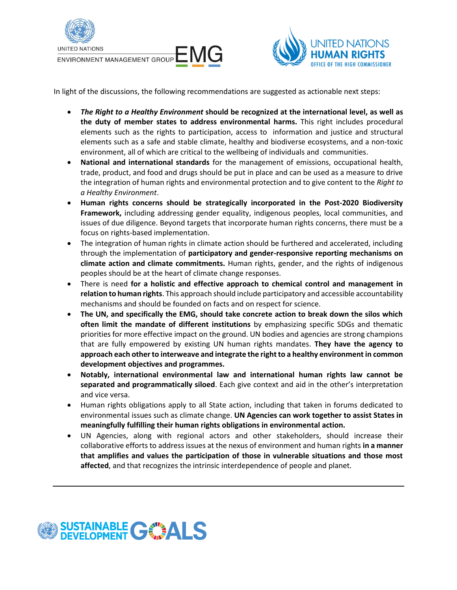



In light of the discussions, the following recommendations are suggested as actionable next steps:

- *The Right to a Healthy Environment* **should be recognized at the international level, as well as the duty of member states to address environmental harms.** This right includes procedural elements such as the rights to participation, access to information and justice and structural elements such as a safe and stable climate, healthy and biodiverse ecosystems, and a non-toxic environment, all of which are critical to the wellbeing of individuals and communities.
- **National and international standards** for the management of emissions, occupational health, trade, product, and food and drugs should be put in place and can be used as a measure to drive the integration of human rights and environmental protection and to give content to the *Right to a Healthy Environment*.
- **Human rights concerns should be strategically incorporated in the Post-2020 Biodiversity Framework,** including addressing gender equality, indigenous peoples, local communities, and issues of due diligence. Beyond targets that incorporate human rights concerns, there must be a focus on rights-based implementation.
- The integration of human rights in climate action should be furthered and accelerated, including through the implementation of **participatory and gender-responsive reporting mechanisms on climate action and climate commitments.** Human rights, gender, and the rights of indigenous peoples should be at the heart of climate change responses.
- There is need **for a holistic and effective approach to chemical control and management in relation to human rights**. This approach should include participatory and accessible accountability mechanisms and should be founded on facts and on respect for science.
- **The UN, and specifically the EMG, should take concrete action to break down the silos which often limit the mandate of different institutions** by emphasizing specific SDGs and thematic priorities for more effective impact on the ground. UN bodies and agencies are strong champions that are fully empowered by existing UN human rights mandates. **They have the agency to approach each other to interweave and integrate the right to a healthy environment in common development objectives and programmes.**
- **Notably, international environmental law and international human rights law cannot be separated and programmatically siloed**. Each give context and aid in the other's interpretation and vice versa.
- Human rights obligations apply to all State action, including that taken in forums dedicated to environmental issues such as climate change. **UN Agencies can work together to assist States in meaningfully fulfilling their human rights obligations in environmental action.**
- UN Agencies, along with regional actors and other stakeholders, should increase their collaborative efforts to address issues at the nexus of environment and human rights **in a manner that amplifies and values the participation of those in vulnerable situations and those most affected**, and that recognizes the intrinsic interdependence of people and planet.

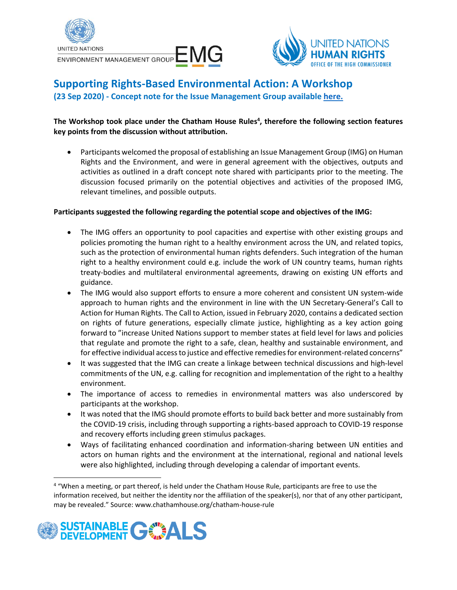



## **Supporting Rights-Based Environmental Action: A Workshop (23 Sep 2020) - Concept note for the Issue Management Group availabl[e here.](https://unemg.org/wp-content/uploads/2020/10/EMGSOM26_4a_IMG-on-human-rights-and-the-environment.pdf)**

### **The Workshop took place under the Chatham House Rules 4 , therefore the following section features key points from the discussion without attribution.**

• Participants welcomed the proposal of establishing an Issue Management Group (IMG) on Human Rights and the Environment, and were in general agreement with the objectives, outputs and activities as outlined in a draft concept note shared with participants prior to the meeting. The discussion focused primarily on the potential objectives and activities of the proposed IMG, relevant timelines, and possible outputs.

#### **Participants suggested the following regarding the potential scope and objectives of the IMG:**

- The IMG offers an opportunity to pool capacities and expertise with other existing groups and policies promoting the human right to a healthy environment across the UN, and related topics, such as the protection of environmental human rights defenders. Such integration of the human right to a healthy environment could e.g. include the work of UN country teams, human rights treaty-bodies and multilateral environmental agreements, drawing on existing UN efforts and guidance.
- The IMG would also support efforts to ensure a more coherent and consistent UN system-wide approach to human rights and the environment in line with the UN Secretary-General's Call to Action for Human Rights. The Call to Action, issued in February 2020, contains a dedicated section on rights of future generations, especially climate justice, highlighting as a key action going forward to "increase United Nations support to member states at field level for laws and policies that regulate and promote the right to a safe, clean, healthy and sustainable environment, and for effective individual access to justice and effective remedies for environment-related concerns"
- It was suggested that the IMG can create a linkage between technical discussions and high-level commitments of the UN, e.g. calling for recognition and implementation of the right to a healthy environment.
- The importance of access to remedies in environmental matters was also underscored by participants at the workshop.
- It was noted that the IMG should promote efforts to build back better and more sustainably from the COVID-19 crisis, including through supporting a rights-based approach to COVID-19 response and recovery efforts including green stimulus packages.
- Ways of facilitating enhanced coordination and information-sharing between UN entities and actors on human rights and the environment at the international, regional and national levels were also highlighted, including through developing a calendar of important events.

<sup>&</sup>lt;sup>4</sup> "When a meeting, or part thereof, is held under the Chatham House Rule, participants are free to use the information received, but neither the identity nor the affiliation of the speaker(s), nor that of any other participant, may be revealed." Source: www.chathamhouse.org/chatham-house-rule

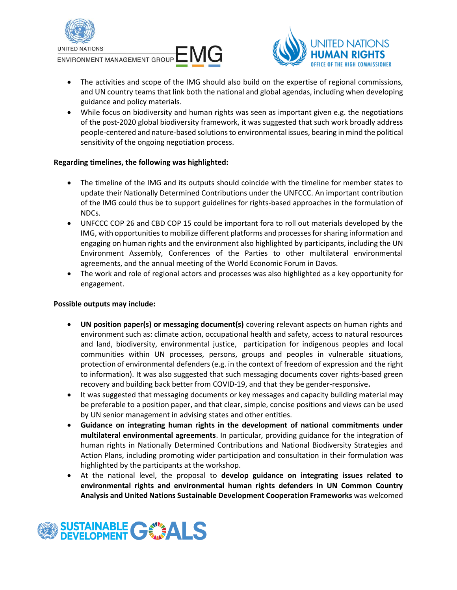

ENVIRONMENT MANAGEMENT GROUP EM



- The activities and scope of the IMG should also build on the expertise of regional commissions, and UN country teams that link both the national and global agendas, including when developing guidance and policy materials.
- While focus on biodiversity and human rights was seen as important given e.g. the negotiations of the post-2020 global biodiversity framework, it was suggested that such work broadly address people-centered and nature-based solutions to environmental issues, bearing in mind the political sensitivity of the ongoing negotiation process.

#### **Regarding timelines, the following was highlighted:**

- The timeline of the IMG and its outputs should coincide with the timeline for member states to update their Nationally Determined Contributions under the UNFCCC. An important contribution of the IMG could thus be to support guidelines for rights-based approaches in the formulation of NDCs.
- UNFCCC COP 26 and CBD COP 15 could be important fora to roll out materials developed by the IMG, with opportunities to mobilize different platforms and processes for sharing information and engaging on human rights and the environment also highlighted by participants, including the UN Environment Assembly, Conferences of the Parties to other multilateral environmental agreements, and the annual meeting of the World Economic Forum in Davos.
- The work and role of regional actors and processes was also highlighted as a key opportunity for engagement.

#### **Possible outputs may include:**

- **UN position paper(s) or messaging document(s)** covering relevant aspects on human rights and environment such as: climate action, occupational health and safety, access to natural resources and land, biodiversity, environmental justice, participation for indigenous peoples and local communities within UN processes, persons, groups and peoples in vulnerable situations, protection of environmental defenders (e.g. in the context of freedom of expression and the right to information). It was also suggested that such messaging documents cover rights-based green recovery and building back better from COVID-19, and that they be gender-responsive**.**
- It was suggested that messaging documents or key messages and capacity building material may be preferable to a position paper, and that clear, simple, concise positions and views can be used by UN senior management in advising states and other entities.
- **Guidance on integrating human rights in the development of national commitments under multilateral environmental agreements**. In particular, providing guidance for the integration of human rights in Nationally Determined Contributions and National Biodiversity Strategies and Action Plans, including promoting wider participation and consultation in their formulation was highlighted by the participants at the workshop.
- At the national level, the proposal to **develop guidance on integrating issues related to environmental rights and environmental human rights defenders in UN Common Country Analysis and United Nations Sustainable Development Cooperation Frameworks** was welcomed

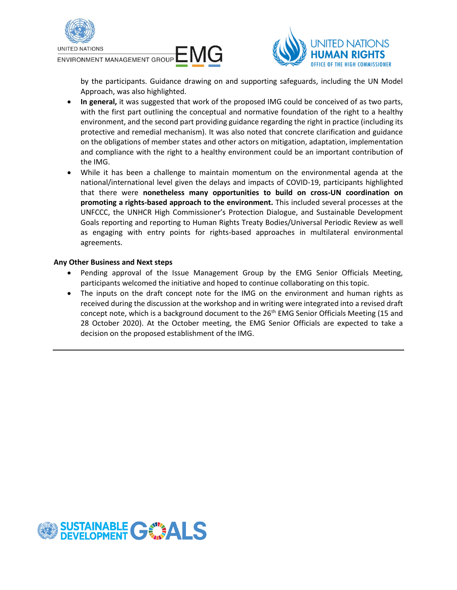

ENVIRONMENT MANAGEMENT GROUP EMITED



by the participants. Guidance drawing on and supporting safeguards, including the UN Model Approach, was also highlighted.

- **In general,** it was suggested that work of the proposed IMG could be conceived of as two parts, with the first part outlining the conceptual and normative foundation of the right to a healthy environment, and the second part providing guidance regarding the right in practice (including its protective and remedial mechanism). It was also noted that concrete clarification and guidance on the obligations of member states and other actors on mitigation, adaptation, implementation and compliance with the right to a healthy environment could be an important contribution of the IMG.
- While it has been a challenge to maintain momentum on the environmental agenda at the national/international level given the delays and impacts of COVID-19, participants highlighted that there were **nonetheless many opportunities to build on cross-UN coordination on promoting a rights-based approach to the environment.** This included several processes at the UNFCCC, the UNHCR High Commissioner's Protection Dialogue, and Sustainable Development Goals reporting and reporting to Human Rights Treaty Bodies/Universal Periodic Review as well as engaging with entry points for rights-based approaches in multilateral environmental agreements.

#### **Any Other Business and Next steps**

- Pending approval of the Issue Management Group by the EMG Senior Officials Meeting, participants welcomed the initiative and hoped to continue collaborating on this topic.
- The inputs on the draft concept note for the IMG on the environment and human rights as received during the discussion at the workshop and in writing were integrated into a revised draft concept note, which is a background document to the  $26<sup>th</sup>$  EMG Senior Officials Meeting (15 and 28 October 2020). At the October meeting, the EMG Senior Officials are expected to take a decision on the proposed establishment of the IMG.

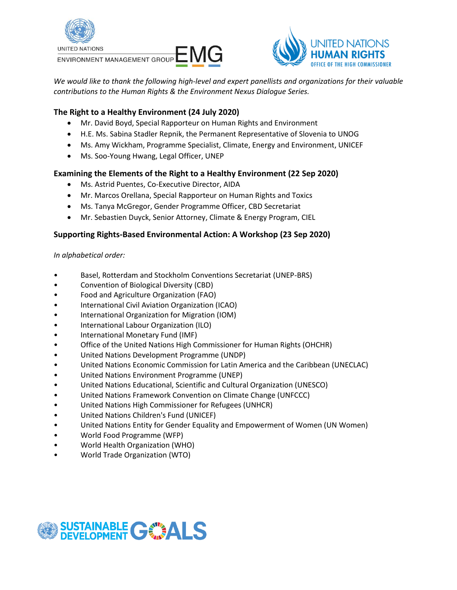

ENVIRONMENT MANAGEMENT GROUP E MG



*We would like to thank the following high-level and expert panellists and organizations for their valuable contributions to the Human Rights & the Environment Nexus Dialogue Series.* 

### **The Right to a Healthy Environment (24 July 2020)**

- Mr. David Boyd, Special Rapporteur on Human Rights and Environment
- H.E. Ms. Sabina Stadler Repnik, the Permanent Representative of Slovenia to UNOG
- Ms. Amy Wickham, Programme Specialist, Climate, Energy and Environment, UNICEF
- Ms. Soo-Young Hwang, Legal Officer, UNEP

#### **Examining the Elements of the Right to a Healthy Environment (22 Sep 2020)**

- Ms. Astrid Puentes, Co-Executive Director, AIDA
- Mr. Marcos Orellana, Special Rapporteur on Human Rights and Toxics
- Ms. Tanya McGregor, Gender Programme Officer, CBD Secretariat
- Mr. Sebastien Duyck, Senior Attorney, Climate & Energy Program, CIEL

#### **Supporting Rights-Based Environmental Action: A Workshop (23 Sep 2020)**

#### *In alphabetical order:*

- Basel, Rotterdam and Stockholm Conventions Secretariat (UNEP-BRS)
- Convention of Biological Diversity (CBD)
- Food and Agriculture Organization (FAO)
- International Civil Aviation Organization (ICAO)
- International Organization for Migration (IOM)
- International Labour Organization (ILO)
- International Monetary Fund (IMF)
- Office of the United Nations High Commissioner for Human Rights (OHCHR)
- United Nations Development Programme (UNDP)
- United Nations Economic Commission for Latin America and the Caribbean (UNECLAC)
- United Nations Environment Programme (UNEP)
- United Nations Educational, Scientific and Cultural Organization (UNESCO)
- United Nations Framework Convention on Climate Change (UNFCCC)
- United Nations High Commissioner for Refugees (UNHCR)
- United Nations Children's Fund (UNICEF)
- United Nations Entity for Gender Equality and Empowerment of Women (UN Women)
- World Food Programme (WFP)
- World Health Organization (WHO)
- World Trade Organization (WTO)